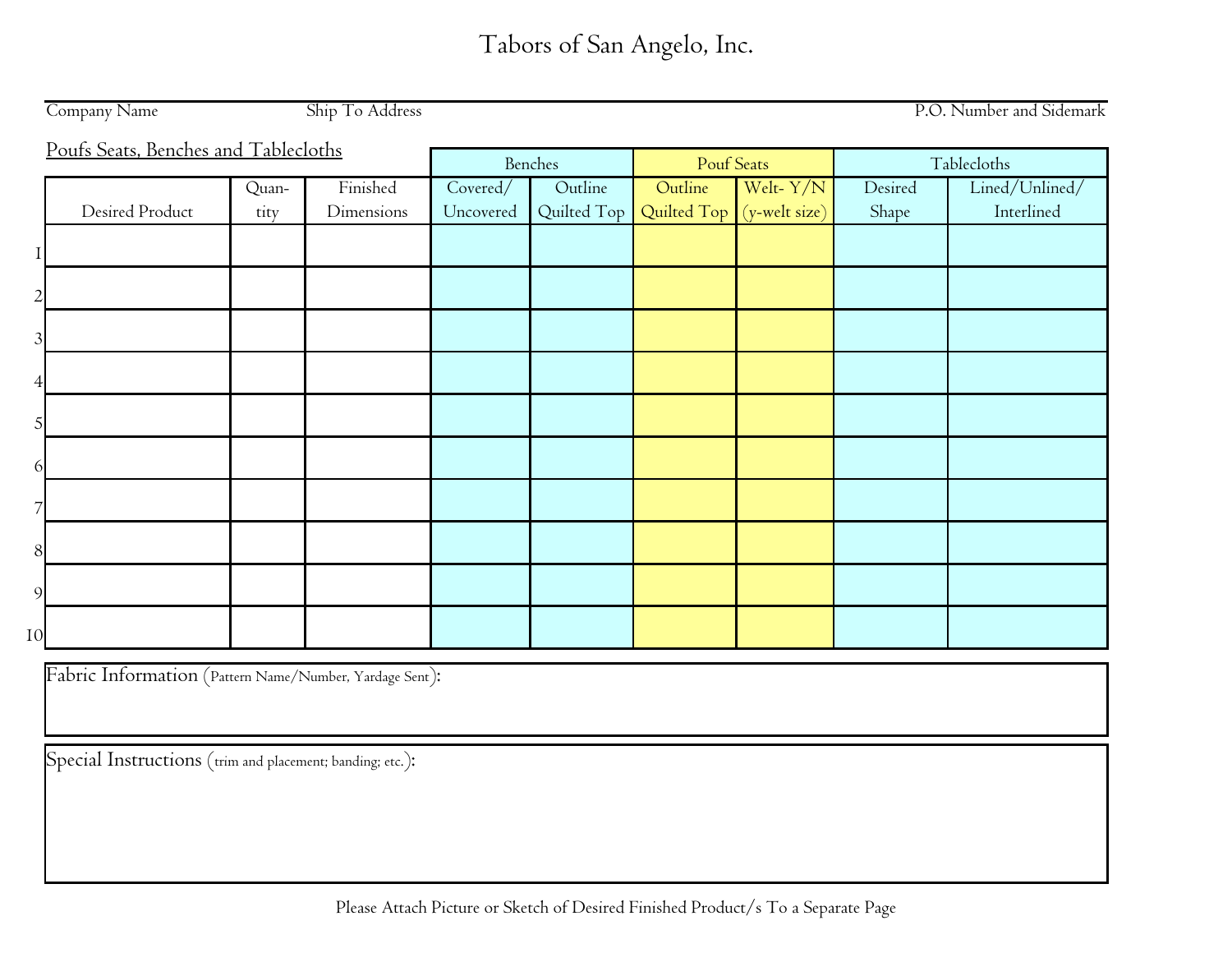|    | Company Name                         |       | Ship To Address |           |             |                           |             |             | P.O. Number and Sidemark |  |
|----|--------------------------------------|-------|-----------------|-----------|-------------|---------------------------|-------------|-------------|--------------------------|--|
|    | Poufs Seats, Benches and Tablecloths |       |                 |           |             |                           |             |             |                          |  |
|    |                                      |       |                 |           | Benches     | <b>Pouf Seats</b>         |             | Tablecloths |                          |  |
|    |                                      | Quan- | Finished        | Covered/  | Outline     | Outline                   | Welt- $Y/N$ | Desired     | Lined/Unlined/           |  |
|    | Desired Product                      | tity  | Dimensions      | Uncovered | Quilted Top | Quilted Top (y-welt size) |             | Shape       | Interlined               |  |
|    |                                      |       |                 |           |             |                           |             |             |                          |  |
|    |                                      |       |                 |           |             |                           |             |             |                          |  |
|    |                                      |       |                 |           |             |                           |             |             |                          |  |
| 3  |                                      |       |                 |           |             |                           |             |             |                          |  |
|    |                                      |       |                 |           |             |                           |             |             |                          |  |
|    |                                      |       |                 |           |             |                           |             |             |                          |  |
| h  |                                      |       |                 |           |             |                           |             |             |                          |  |
|    |                                      |       |                 |           |             |                           |             |             |                          |  |
| 8  |                                      |       |                 |           |             |                           |             |             |                          |  |
| 9  |                                      |       |                 |           |             |                           |             |             |                          |  |
| 10 |                                      |       |                 |           |             |                           |             |             |                          |  |

Fabric Information (Pattern Name/Number, Yardage Sent):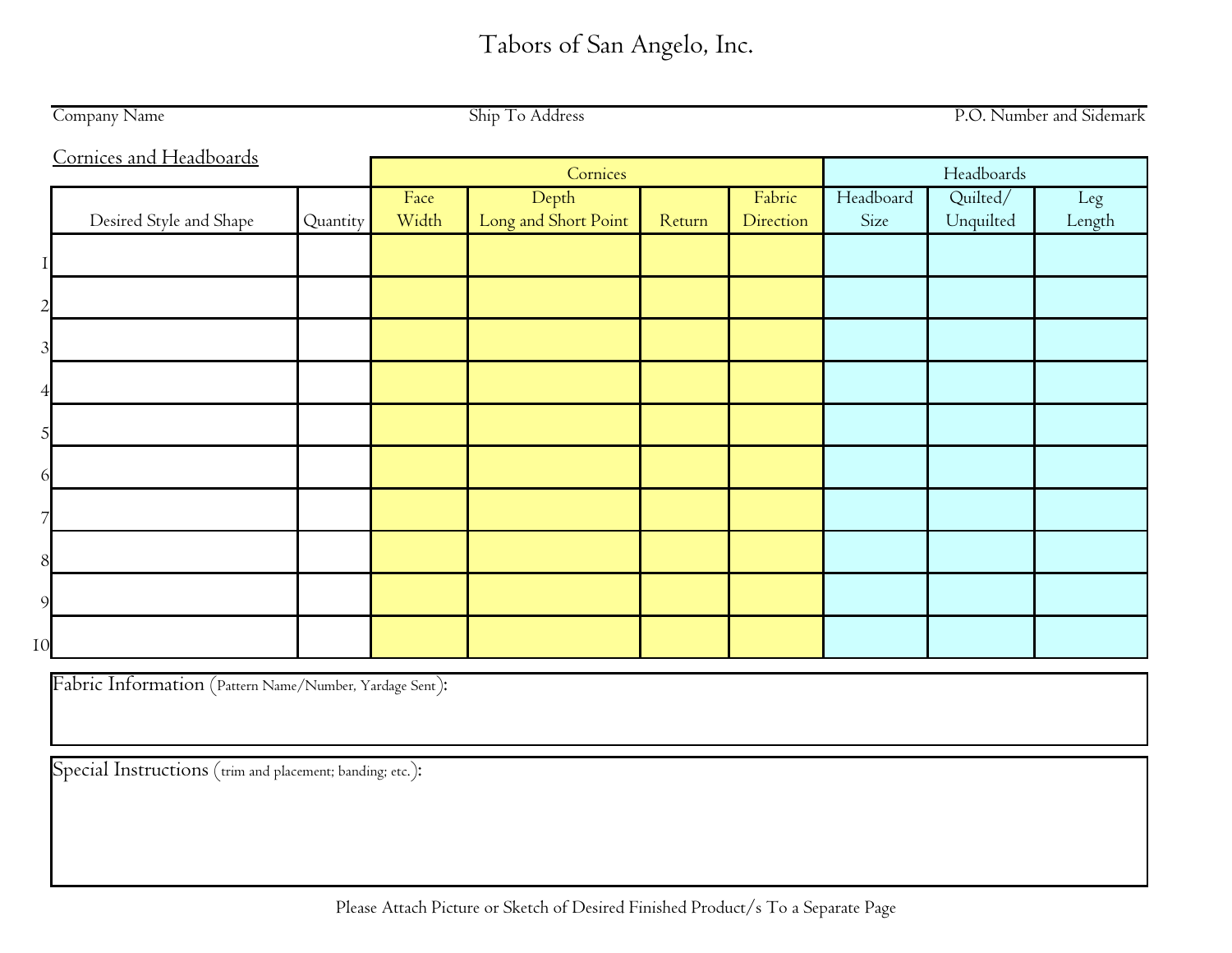|                | Company Name            |          |               | Ship To Address               | P.O. Number and Sidemark |                     |                   |                       |               |
|----------------|-------------------------|----------|---------------|-------------------------------|--------------------------|---------------------|-------------------|-----------------------|---------------|
|                | Cornices and Headboards |          | Cornices      | Headboards                    |                          |                     |                   |                       |               |
|                | Desired Style and Shape | Quantity | Face<br>Width | Depth<br>Long and Short Point | Return                   | Fabric<br>Direction | Headboard<br>Size | Quilted/<br>Unquilted | Leg<br>Length |
|                |                         |          |               |                               |                          |                     |                   |                       |               |
| $\mathcal{P}$  |                         |          |               |                               |                          |                     |                   |                       |               |
| $\mathfrak{Z}$ |                         |          |               |                               |                          |                     |                   |                       |               |
|                |                         |          |               |                               |                          |                     |                   |                       |               |
|                |                         |          |               |                               |                          |                     |                   |                       |               |
|                |                         |          |               |                               |                          |                     |                   |                       |               |
|                |                         |          |               |                               |                          |                     |                   |                       |               |
| 8              |                         |          |               |                               |                          |                     |                   |                       |               |
| $\mathbf Q$    |                         |          |               |                               |                          |                     |                   |                       |               |
| 10             |                         |          |               |                               |                          |                     |                   |                       |               |

Fabric Information (Pattern Name/Number, Yardage Sent):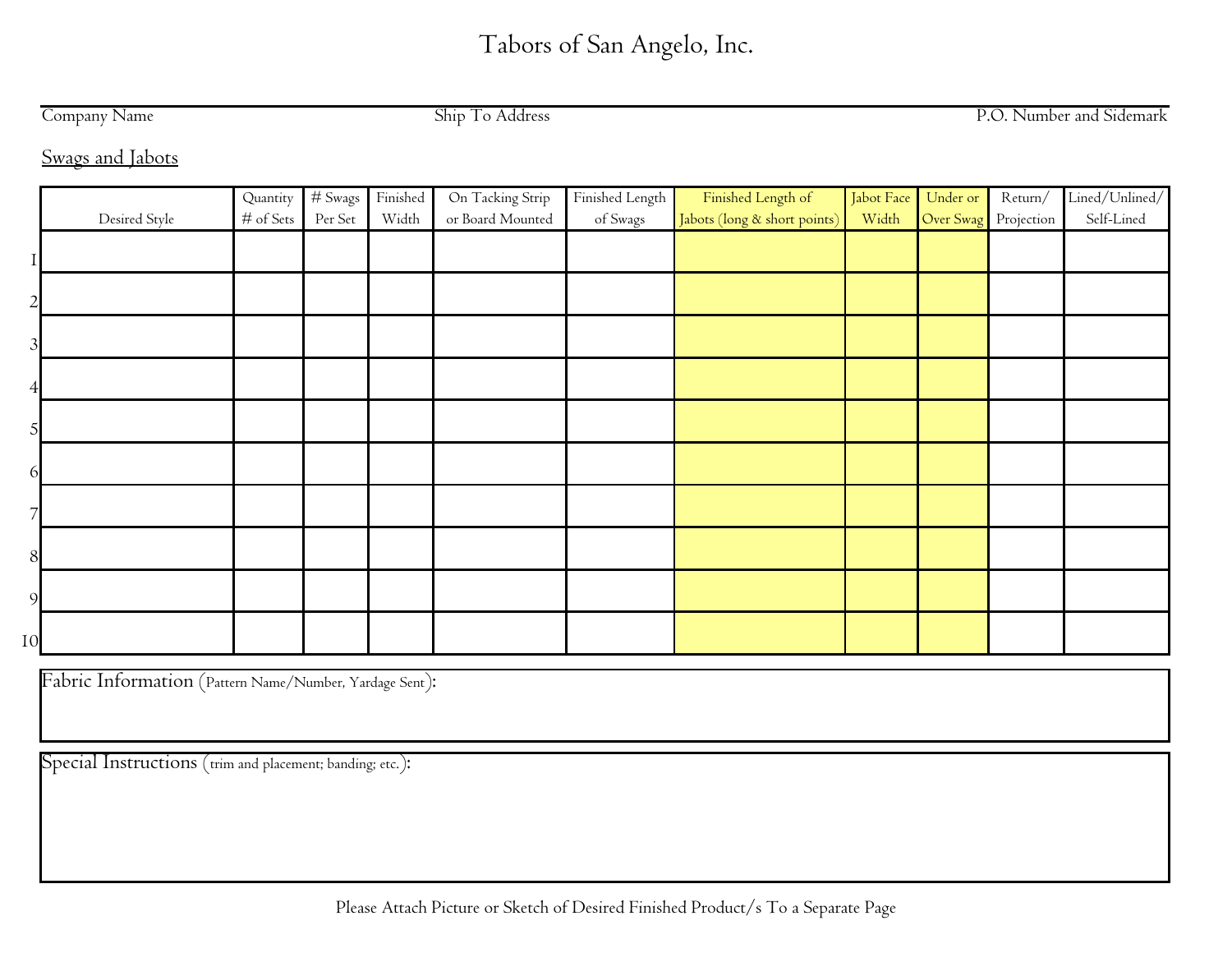Company Name Ship To Address

P.O. Number and Sidemark

Swags and Jabots

|    |               | Quantity  | $#$ Swags | Finished | On Tacking Strip | Finished Length | Finished Length of           | Jabot Face | Under or             | Return/ | Lined/Unlined/ |
|----|---------------|-----------|-----------|----------|------------------|-----------------|------------------------------|------------|----------------------|---------|----------------|
|    | Desired Style | # of Sets | Per Set   | Width    | or Board Mounted | of Swags        | Jabots (long & short points) | Width      | Over Swag Projection |         | Self-Lined     |
|    |               |           |           |          |                  |                 |                              |            |                      |         |                |
|    |               |           |           |          |                  |                 |                              |            |                      |         |                |
|    |               |           |           |          |                  |                 |                              |            |                      |         |                |
|    |               |           |           |          |                  |                 |                              |            |                      |         |                |
|    |               |           |           |          |                  |                 |                              |            |                      |         |                |
|    |               |           |           |          |                  |                 |                              |            |                      |         |                |
|    |               |           |           |          |                  |                 |                              |            |                      |         |                |
|    |               |           |           |          |                  |                 |                              |            |                      |         |                |
|    |               |           |           |          |                  |                 |                              |            |                      |         |                |
|    |               |           |           |          |                  |                 |                              |            |                      |         |                |
|    |               |           |           |          |                  |                 |                              |            |                      |         |                |
| 10 |               |           |           |          |                  |                 |                              |            |                      |         |                |

Fabric Information (Pattern Name/Number, Yardage Sent):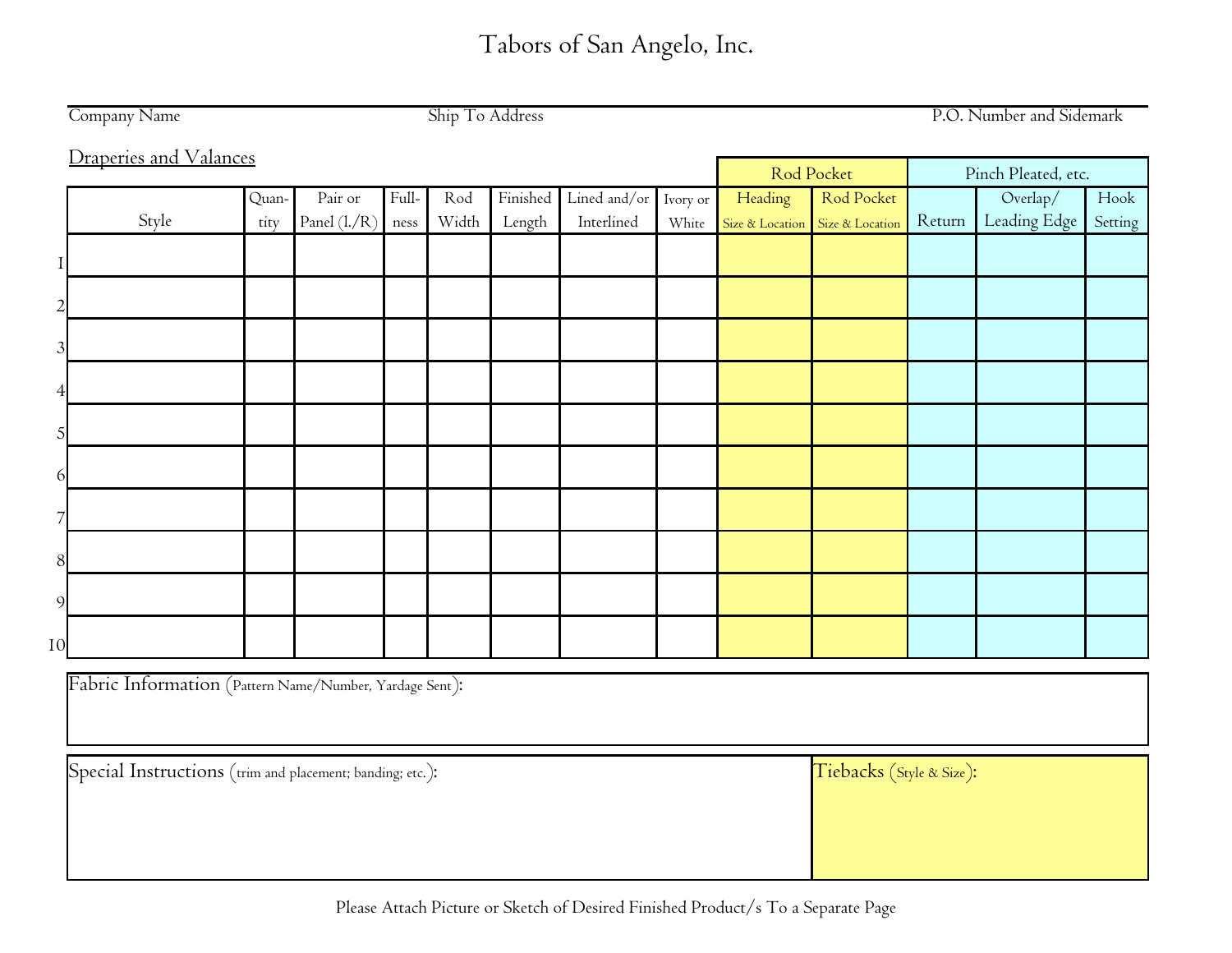|    | Ship To Address<br>P.O. Number and Sidemark<br>Company Name |       |              |       |       |          |              |          |         |                                 |        |                                            |         |
|----|-------------------------------------------------------------|-------|--------------|-------|-------|----------|--------------|----------|---------|---------------------------------|--------|--------------------------------------------|---------|
|    | Draperies and Valances                                      |       |              |       |       |          |              |          |         |                                 |        |                                            |         |
|    |                                                             |       |              |       |       |          |              |          |         | Rod Pocket                      |        | Pinch Pleated, etc.                        |         |
|    |                                                             | Quan- | Pair or      | Full- | Rod   | Finished | Lined and/or | Ivory or | Heading | Rod Pocket                      |        | $\ensuremath{\mathrm{Overallap}}\xspace /$ | Hook    |
|    | Style                                                       | tity  | Panel (l./R) | ness  | Width | Length   | Interlined   | White    |         | Size & Location Size & Location | Return | Leading Edge                               | Setting |
|    |                                                             |       |              |       |       |          |              |          |         |                                 |        |                                            |         |
|    |                                                             |       |              |       |       |          |              |          |         |                                 |        |                                            |         |
|    |                                                             |       |              |       |       |          |              |          |         |                                 |        |                                            |         |
|    |                                                             |       |              |       |       |          |              |          |         |                                 |        |                                            |         |
| 5  |                                                             |       |              |       |       |          |              |          |         |                                 |        |                                            |         |
| 6  |                                                             |       |              |       |       |          |              |          |         |                                 |        |                                            |         |
|    |                                                             |       |              |       |       |          |              |          |         |                                 |        |                                            |         |
| 8  |                                                             |       |              |       |       |          |              |          |         |                                 |        |                                            |         |
| 9  |                                                             |       |              |       |       |          |              |          |         |                                 |        |                                            |         |
| 10 |                                                             |       |              |       |       |          |              |          |         |                                 |        |                                            |         |
|    | Fabric Information (Pattern Name/Number, Yardage Sent):     |       |              |       |       |          |              |          |         |                                 |        |                                            |         |
|    | Special Instructions (trim and placement; banding; etc.):   |       |              |       |       |          |              |          |         | Tiebacks (Style & Size):        |        |                                            |         |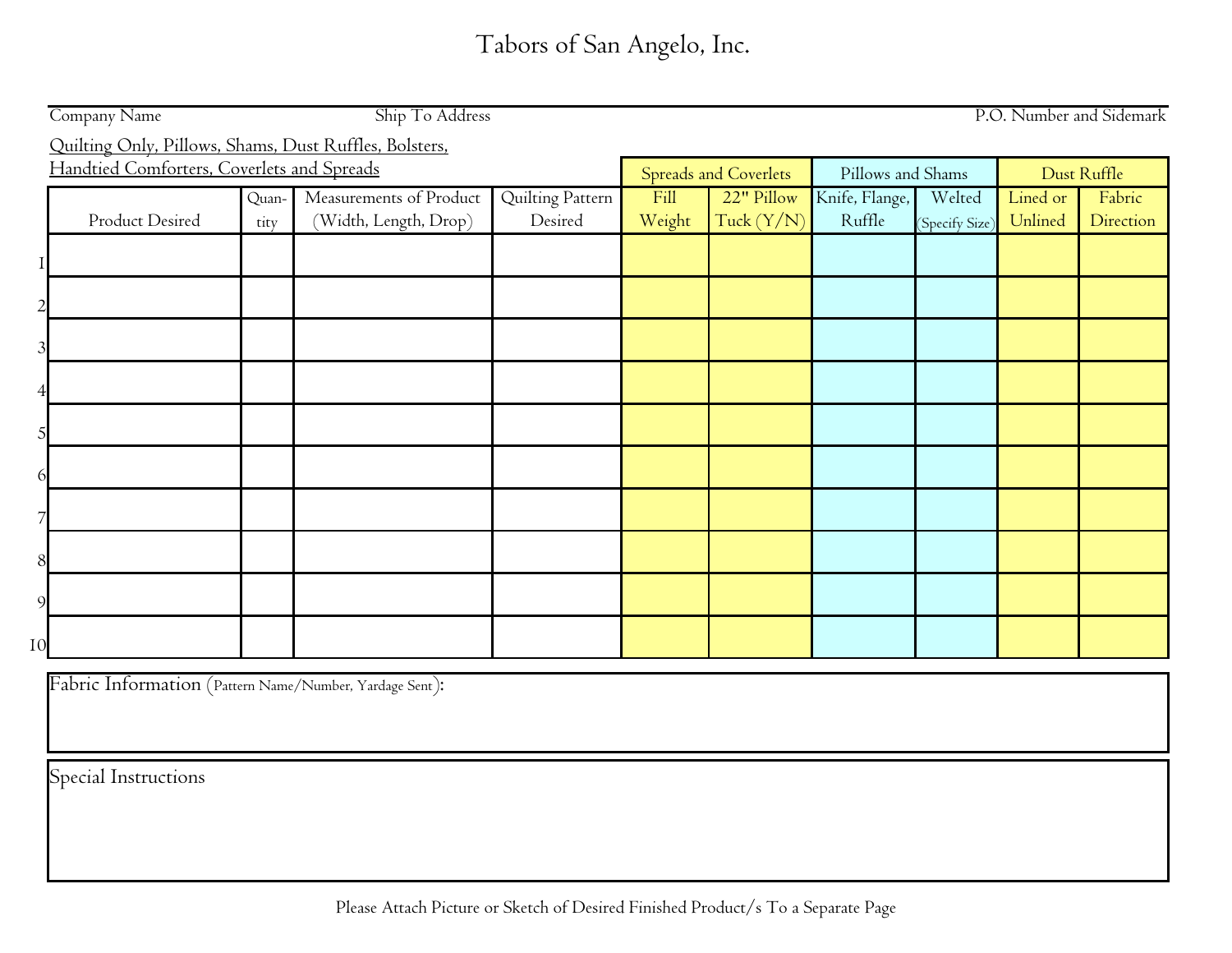|    | Ship To Address<br>Company Name<br>P.O. Number and Sidemark |       |                         |                  |                              |                   |                |                |          |           |  |  |
|----|-------------------------------------------------------------|-------|-------------------------|------------------|------------------------------|-------------------|----------------|----------------|----------|-----------|--|--|
|    | Quilting Only, Pillows, Shams, Dust Ruffles, Bolsters,      |       |                         |                  |                              |                   |                |                |          |           |  |  |
|    | Handtied Comforters, Coverlets and Spreads                  |       |                         |                  | <b>Spreads and Coverlets</b> | Pillows and Shams |                | Dust Ruffle    |          |           |  |  |
|    |                                                             | Quan- | Measurements of Product | Quilting Pattern | Fill                         | 22" Pillow        | Knife, Flange, | Welted         | Lined or | Fabric    |  |  |
|    | Product Desired                                             | tity  | (Width, Length, Drop)   | Desired          | Weight                       | Tuck $(Y/N)$      | Ruffle         | (Specify Size) | Unlined  | Direction |  |  |
|    |                                                             |       |                         |                  |                              |                   |                |                |          |           |  |  |
|    |                                                             |       |                         |                  |                              |                   |                |                |          |           |  |  |
|    |                                                             |       |                         |                  |                              |                   |                |                |          |           |  |  |
|    |                                                             |       |                         |                  |                              |                   |                |                |          |           |  |  |
|    |                                                             |       |                         |                  |                              |                   |                |                |          |           |  |  |
|    |                                                             |       |                         |                  |                              |                   |                |                |          |           |  |  |
|    |                                                             |       |                         |                  |                              |                   |                |                |          |           |  |  |
|    |                                                             |       |                         |                  |                              |                   |                |                |          |           |  |  |
|    |                                                             |       |                         |                  |                              |                   |                |                |          |           |  |  |
|    |                                                             |       |                         |                  |                              |                   |                |                |          |           |  |  |
|    |                                                             |       |                         |                  |                              |                   |                |                |          |           |  |  |
| 9  |                                                             |       |                         |                  |                              |                   |                |                |          |           |  |  |
| 10 |                                                             |       |                         |                  |                              |                   |                |                |          |           |  |  |

Fabric Information (Pattern Name/Number, Yardage Sent):

Special Instructions